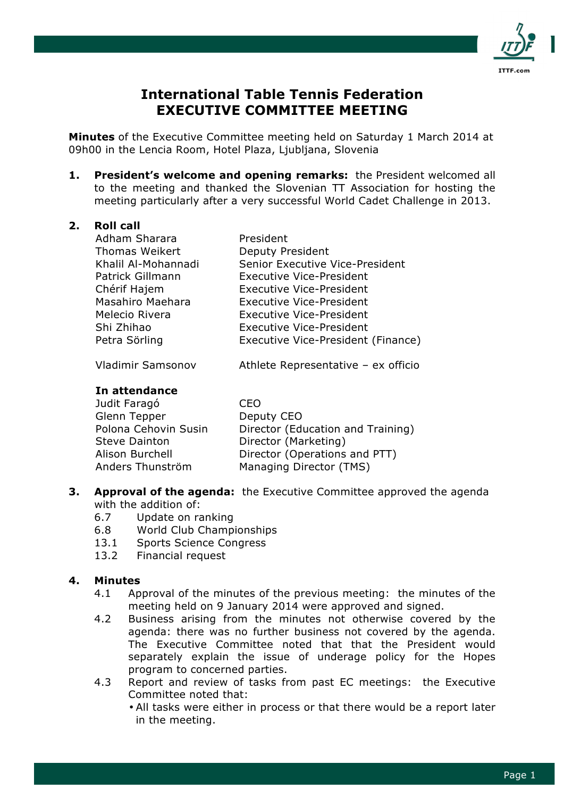

# **International Table Tennis Federation EXECUTIVE COMMITTEE MEETING**

**Minutes** of the Executive Committee meeting held on Saturday 1 March 2014 at 09h00 in the Lencia Room, Hotel Plaza, Ljubljana, Slovenia

**1. President's welcome and opening remarks:** the President welcomed all to the meeting and thanked the Slovenian TT Association for hosting the meeting particularly after a very successful World Cadet Challenge in 2013.

## **2. Roll call**

| Adham Sharara         | President                          |
|-----------------------|------------------------------------|
| <b>Thomas Weikert</b> | Deputy President                   |
| Khalil Al-Mohannadi   | Senior Executive Vice-President    |
| Patrick Gillmann      | <b>Executive Vice-President</b>    |
| Chérif Hajem          | <b>Executive Vice-President</b>    |
| Masahiro Maehara      | Executive Vice-President           |
| Melecio Rivera        | <b>Executive Vice-President</b>    |
| Shi Zhihao            | <b>Executive Vice-President</b>    |
| Petra Sörling         | Executive Vice-President (Finance) |
|                       |                                    |

Vladimir Samsonov Athlete Representative – ex officio

## **In attendance**

| Judit Faragó         | CFO                               |
|----------------------|-----------------------------------|
| Glenn Tepper         | Deputy CEO                        |
| Polona Cehovin Susin | Director (Education and Training) |
| <b>Steve Dainton</b> | Director (Marketing)              |
| Alison Burchell      | Director (Operations and PTT)     |
| Anders Thunström     | Managing Director (TMS)           |
|                      |                                   |

# **3. Approval of the agenda:** the Executive Committee approved the agenda with the addition of:

- 6.7 Update on ranking
- 6.8 World Club Championships
- 13.1 Sports Science Congress
- 13.2 Financial request

## **4. Minutes**

- 4.1 Approval of the minutes of the previous meeting: the minutes of the meeting held on 9 January 2014 were approved and signed.
- 4.2 Business arising from the minutes not otherwise covered by the agenda: there was no further business not covered by the agenda. The Executive Committee noted that that the President would separately explain the issue of underage policy for the Hopes program to concerned parties.
- 4.3 Report and review of tasks from past EC meetings: the Executive Committee noted that:
	- All tasks were either in process or that there would be a report later in the meeting.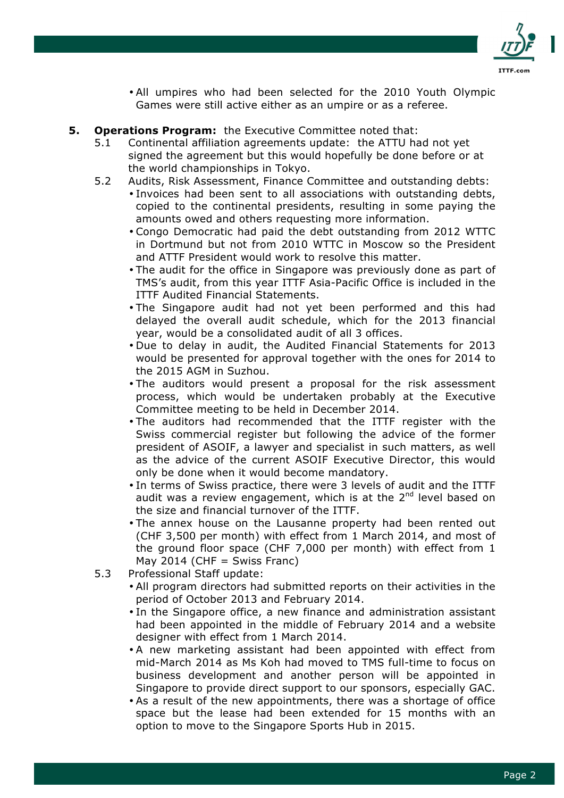

- All umpires who had been selected for the 2010 Youth Olympic Games were still active either as an umpire or as a referee.
- **5. Operations Program:** the Executive Committee noted that:
	- 5.1 Continental affiliation agreements update: the ATTU had not yet signed the agreement but this would hopefully be done before or at the world championships in Tokyo.
	- 5.2 Audits, Risk Assessment, Finance Committee and outstanding debts: • Invoices had been sent to all associations with outstanding debts, copied to the continental presidents, resulting in some paying the amounts owed and others requesting more information.
		- Congo Democratic had paid the debt outstanding from 2012 WTTC in Dortmund but not from 2010 WTTC in Moscow so the President and ATTF President would work to resolve this matter.
		- The audit for the office in Singapore was previously done as part of TMS's audit, from this year ITTF Asia-Pacific Office is included in the ITTF Audited Financial Statements.
		- The Singapore audit had not yet been performed and this had delayed the overall audit schedule, which for the 2013 financial year, would be a consolidated audit of all 3 offices.
		- Due to delay in audit, the Audited Financial Statements for 2013 would be presented for approval together with the ones for 2014 to the 2015 AGM in Suzhou.
		- The auditors would present a proposal for the risk assessment process, which would be undertaken probably at the Executive Committee meeting to be held in December 2014.
		- The auditors had recommended that the ITTF register with the Swiss commercial register but following the advice of the former president of ASOIF, a lawyer and specialist in such matters, as well as the advice of the current ASOIF Executive Director, this would only be done when it would become mandatory.
		- In terms of Swiss practice, there were 3 levels of audit and the ITTF audit was a review engagement, which is at the 2<sup>nd</sup> level based on the size and financial turnover of the ITTF.
		- The annex house on the Lausanne property had been rented out (CHF 3,500 per month) with effect from 1 March 2014, and most of the ground floor space (CHF 7,000 per month) with effect from 1 May 2014 (CHF = Swiss Franc)
	- 5.3 Professional Staff update:
		- All program directors had submitted reports on their activities in the period of October 2013 and February 2014.
		- In the Singapore office, a new finance and administration assistant had been appointed in the middle of February 2014 and a website designer with effect from 1 March 2014.
		- A new marketing assistant had been appointed with effect from mid-March 2014 as Ms Koh had moved to TMS full-time to focus on business development and another person will be appointed in Singapore to provide direct support to our sponsors, especially GAC.
		- As a result of the new appointments, there was a shortage of office space but the lease had been extended for 15 months with an option to move to the Singapore Sports Hub in 2015.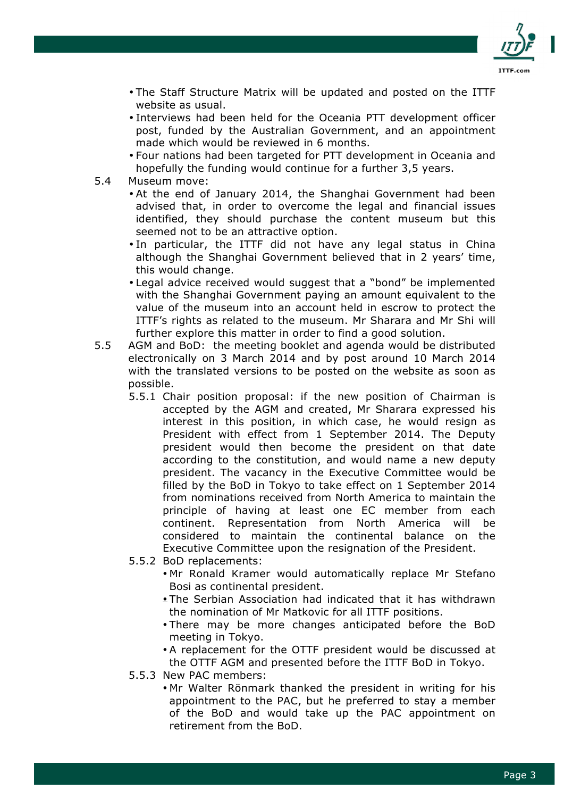

- The Staff Structure Matrix will be updated and posted on the ITTF website as usual.
- Interviews had been held for the Oceania PTT development officer post, funded by the Australian Government, and an appointment made which would be reviewed in 6 months.
- Four nations had been targeted for PTT development in Oceania and hopefully the funding would continue for a further 3,5 years.
- 5.4 Museum move:
	- At the end of January 2014, the Shanghai Government had been advised that, in order to overcome the legal and financial issues identified, they should purchase the content museum but this seemed not to be an attractive option.
	- In particular, the ITTF did not have any legal status in China although the Shanghai Government believed that in 2 years' time, this would change.
	- Legal advice received would suggest that a "bond" be implemented with the Shanghai Government paying an amount equivalent to the value of the museum into an account held in escrow to protect the ITTF's rights as related to the museum. Mr Sharara and Mr Shi will further explore this matter in order to find a good solution.
- 5.5 AGM and BoD: the meeting booklet and agenda would be distributed electronically on 3 March 2014 and by post around 10 March 2014 with the translated versions to be posted on the website as soon as possible.
	- 5.5.1 Chair position proposal: if the new position of Chairman is accepted by the AGM and created, Mr Sharara expressed his interest in this position, in which case, he would resign as President with effect from 1 September 2014. The Deputy president would then become the president on that date according to the constitution, and would name a new deputy president. The vacancy in the Executive Committee would be filled by the BoD in Tokyo to take effect on 1 September 2014 from nominations received from North America to maintain the principle of having at least one EC member from each continent. Representation from North America will be considered to maintain the continental balance on the Executive Committee upon the resignation of the President.
	- 5.5.2 BoD replacements:
		- Mr Ronald Kramer would automatically replace Mr Stefano Bosi as continental president.
		- The Serbian Association had indicated that it has withdrawn the nomination of Mr Matkovic for all ITTF positions.
		- There may be more changes anticipated before the BoD meeting in Tokyo.
		- A replacement for the OTTF president would be discussed at the OTTF AGM and presented before the ITTF BoD in Tokyo.
	- 5.5.3 New PAC members:
		- Mr Walter Rönmark thanked the president in writing for his appointment to the PAC, but he preferred to stay a member of the BoD and would take up the PAC appointment on retirement from the BoD.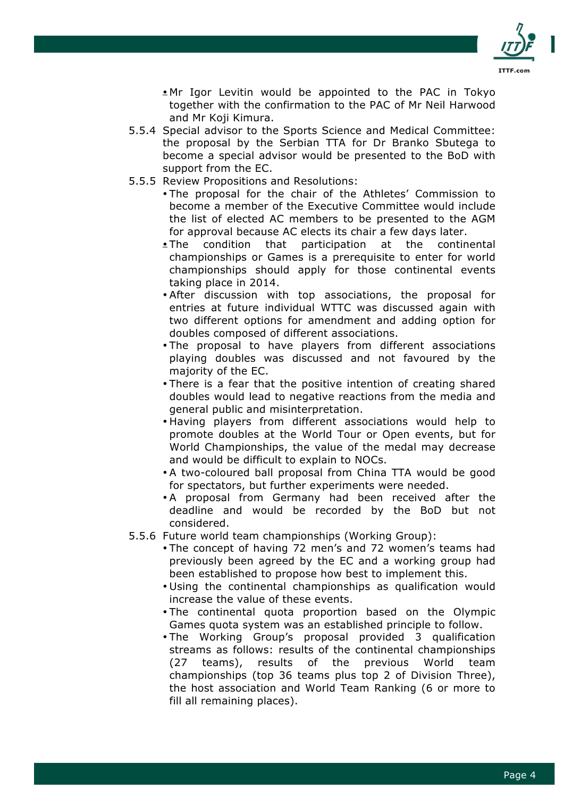

• Mr Igor Levitin would be appointed to the PAC in Tokyo together with the confirmation to the PAC of Mr Neil Harwood and Mr Koji Kimura.

- 5.5.4 Special advisor to the Sports Science and Medical Committee: the proposal by the Serbian TTA for Dr Branko Sbutega to become a special advisor would be presented to the BoD with support from the EC.
- 5.5.5 Review Propositions and Resolutions:
	- The proposal for the chair of the Athletes' Commission to become a member of the Executive Committee would include the list of elected AC members to be presented to the AGM for approval because AC elects its chair a few days later.
	- The condition that participation at the continental championships or Games is a prerequisite to enter for world championships should apply for those continental events taking place in 2014.
	- After discussion with top associations, the proposal for entries at future individual WTTC was discussed again with two different options for amendment and adding option for doubles composed of different associations.
	- The proposal to have players from different associations playing doubles was discussed and not favoured by the majority of the EC.
	- There is a fear that the positive intention of creating shared doubles would lead to negative reactions from the media and general public and misinterpretation.
	- Having players from different associations would help to promote doubles at the World Tour or Open events, but for World Championships, the value of the medal may decrease and would be difficult to explain to NOCs.
	- A two-coloured ball proposal from China TTA would be good for spectators, but further experiments were needed.
	- A proposal from Germany had been received after the deadline and would be recorded by the BoD but not considered.
- 5.5.6 Future world team championships (Working Group):
	- The concept of having 72 men's and 72 women's teams had previously been agreed by the EC and a working group had been established to propose how best to implement this.
	- Using the continental championships as qualification would increase the value of these events.
	- The continental quota proportion based on the Olympic Games quota system was an established principle to follow.
	- The Working Group's proposal provided 3 qualification streams as follows: results of the continental championships (27 teams), results of the previous World team championships (top 36 teams plus top 2 of Division Three), the host association and World Team Ranking (6 or more to fill all remaining places).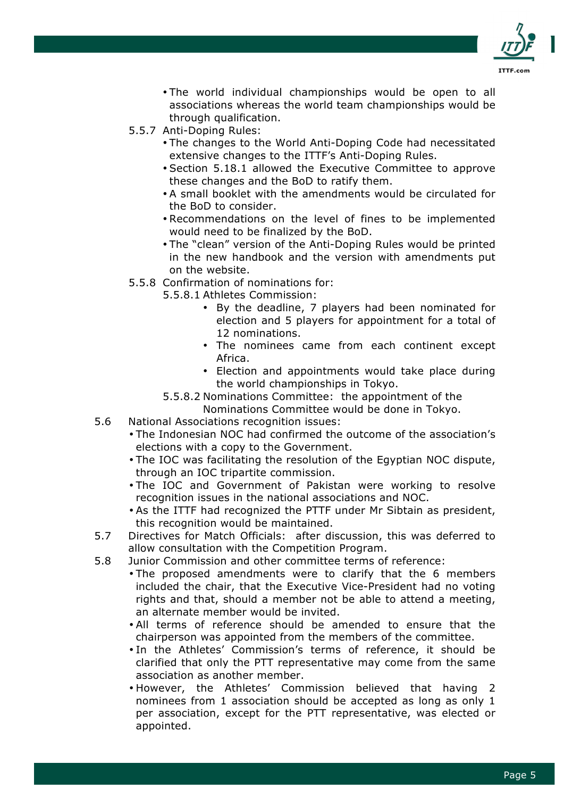

- The world individual championships would be open to all associations whereas the world team championships would be through qualification.
- 5.5.7 Anti-Doping Rules:
	- The changes to the World Anti-Doping Code had necessitated extensive changes to the ITTF's Anti-Doping Rules.
	- Section 5.18.1 allowed the Executive Committee to approve these changes and the BoD to ratify them.
	- A small booklet with the amendments would be circulated for the BoD to consider.
	- Recommendations on the level of fines to be implemented would need to be finalized by the BoD.
	- The "clean" version of the Anti-Doping Rules would be printed in the new handbook and the version with amendments put on the website.
- 5.5.8 Confirmation of nominations for:
	- 5.5.8.1 Athletes Commission:
		- By the deadline, 7 players had been nominated for election and 5 players for appointment for a total of 12 nominations.
		- The nominees came from each continent except Africa.
		- Election and appointments would take place during the world championships in Tokyo.
	- 5.5.8.2 Nominations Committee: the appointment of the

Nominations Committee would be done in Tokyo.

- 5.6 National Associations recognition issues:
	- The Indonesian NOC had confirmed the outcome of the association's elections with a copy to the Government.
	- The IOC was facilitating the resolution of the Egyptian NOC dispute, through an IOC tripartite commission.
	- The IOC and Government of Pakistan were working to resolve recognition issues in the national associations and NOC.
	- As the ITTF had recognized the PTTF under Mr Sibtain as president, this recognition would be maintained.
- 5.7 Directives for Match Officials: after discussion, this was deferred to allow consultation with the Competition Program.
- 5.8 Junior Commission and other committee terms of reference:
	- The proposed amendments were to clarify that the 6 members included the chair, that the Executive Vice-President had no voting rights and that, should a member not be able to attend a meeting, an alternate member would be invited.
		- All terms of reference should be amended to ensure that the chairperson was appointed from the members of the committee.
		- In the Athletes' Commission's terms of reference, it should be clarified that only the PTT representative may come from the same association as another member.
		- However, the Athletes' Commission believed that having 2 nominees from 1 association should be accepted as long as only 1 per association, except for the PTT representative, was elected or appointed.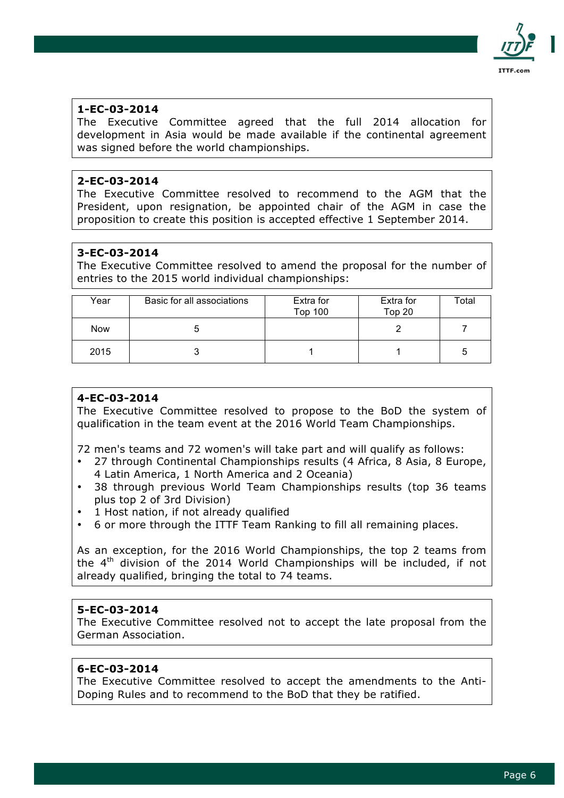

The Executive Committee agreed that the full 2014 allocation for development in Asia would be made available if the continental agreement was signed before the world championships.

# **2-EC-03-2014**

The Executive Committee resolved to recommend to the AGM that the President, upon resignation, be appointed chair of the AGM in case the proposition to create this position is accepted effective 1 September 2014.

# **3-EC-03-2014**

The Executive Committee resolved to amend the proposal for the number of entries to the 2015 world individual championships:

| Year       | Basic for all associations | Extra for<br><b>Top 100</b> | Extra for<br>Top 20 | Total |
|------------|----------------------------|-----------------------------|---------------------|-------|
| <b>Now</b> | C                          |                             |                     |       |
| 2015       |                            |                             |                     | 5     |

# **4-EC-03-2014**

The Executive Committee resolved to propose to the BoD the system of qualification in the team event at the 2016 World Team Championships.

72 men's teams and 72 women's will take part and will qualify as follows:

- 27 through Continental Championships results (4 Africa, 8 Asia, 8 Europe, 4 Latin America, 1 North America and 2 Oceania)
- 38 through previous World Team Championships results (top 36 teams plus top 2 of 3rd Division)
- 1 Host nation, if not already qualified
- 6 or more through the ITTF Team Ranking to fill all remaining places.

As an exception, for the 2016 World Championships, the top 2 teams from the 4<sup>th</sup> division of the 2014 World Championships will be included, if not already qualified, bringing the total to 74 teams.

## **5-EC-03-2014**

The Executive Committee resolved not to accept the late proposal from the German Association.

# **6-EC-03-2014**

The Executive Committee resolved to accept the amendments to the Anti-Doping Rules and to recommend to the BoD that they be ratified.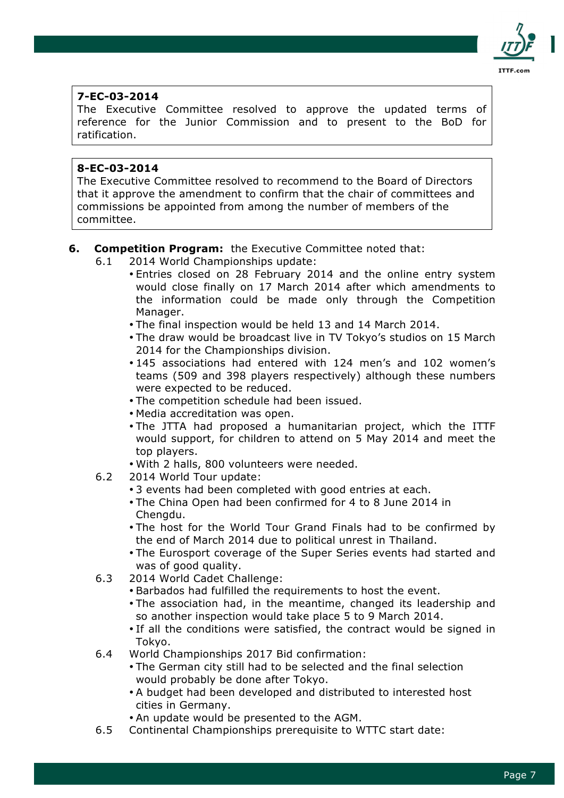

The Executive Committee resolved to approve the updated terms of reference for the Junior Commission and to present to the BoD for ratification.

## **8-EC-03-2014**

The Executive Committee resolved to recommend to the Board of Directors that it approve the amendment to confirm that the chair of committees and commissions be appointed from among the number of members of the committee.

# **6. Competition Program:** the Executive Committee noted that:

- 6.1 2014 World Championships update:
	- Entries closed on 28 February 2014 and the online entry system would close finally on 17 March 2014 after which amendments to the information could be made only through the Competition Manager.
	- The final inspection would be held 13 and 14 March 2014.
	- The draw would be broadcast live in TV Tokyo's studios on 15 March 2014 for the Championships division.
	- 145 associations had entered with 124 men's and 102 women's teams (509 and 398 players respectively) although these numbers were expected to be reduced.
	- The competition schedule had been issued.
	- Media accreditation was open.
	- The JTTA had proposed a humanitarian project, which the ITTF would support, for children to attend on 5 May 2014 and meet the top players.
	- With 2 halls, 800 volunteers were needed.
- 6.2 2014 World Tour update:
	- 3 events had been completed with good entries at each.
	- The China Open had been confirmed for 4 to 8 June 2014 in Chengdu.
	- The host for the World Tour Grand Finals had to be confirmed by the end of March 2014 due to political unrest in Thailand.
	- The Eurosport coverage of the Super Series events had started and was of good quality.
- 6.3 2014 World Cadet Challenge:
	- Barbados had fulfilled the requirements to host the event.
	- The association had, in the meantime, changed its leadership and so another inspection would take place 5 to 9 March 2014.
	- If all the conditions were satisfied, the contract would be signed in Tokyo.
- 6.4 World Championships 2017 Bid confirmation:
	- The German city still had to be selected and the final selection would probably be done after Tokyo.
	- A budget had been developed and distributed to interested host cities in Germany.
	- An update would be presented to the AGM.
- 6.5 Continental Championships prerequisite to WTTC start date: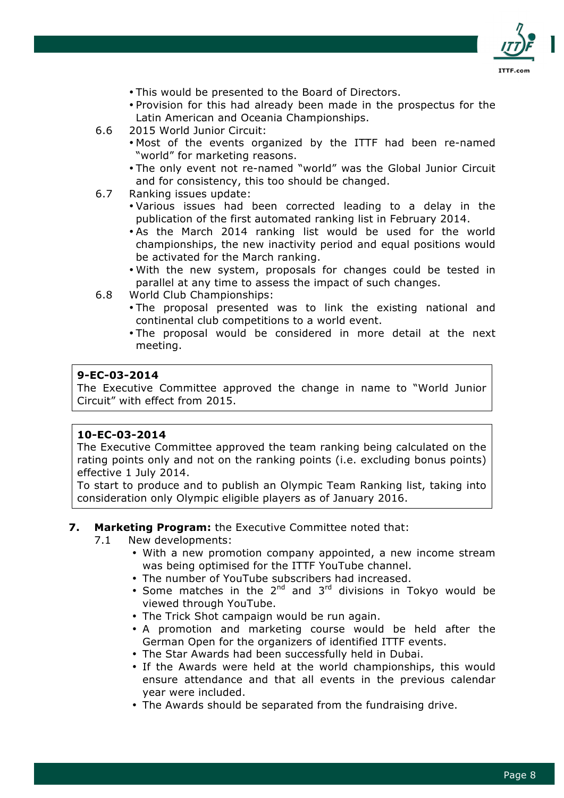

- This would be presented to the Board of Directors.
- Provision for this had already been made in the prospectus for the Latin American and Oceania Championships.
- 6.6 2015 World Junior Circuit:
	- Most of the events organized by the ITTF had been re-named "world" for marketing reasons.
	- The only event not re-named "world" was the Global Junior Circuit and for consistency, this too should be changed.
- 6.7 Ranking issues update:
	- Various issues had been corrected leading to a delay in the publication of the first automated ranking list in February 2014.
	- As the March 2014 ranking list would be used for the world championships, the new inactivity period and equal positions would be activated for the March ranking.
	- With the new system, proposals for changes could be tested in parallel at any time to assess the impact of such changes.
- 6.8 World Club Championships:
	- The proposal presented was to link the existing national and continental club competitions to a world event.
	- The proposal would be considered in more detail at the next meeting.

The Executive Committee approved the change in name to "World Junior Circuit" with effect from 2015.

#### **10-EC-03-2014**

The Executive Committee approved the team ranking being calculated on the rating points only and not on the ranking points (i.e. excluding bonus points) effective 1 July 2014.

To start to produce and to publish an Olympic Team Ranking list, taking into consideration only Olympic eligible players as of January 2016.

#### **7. Marketing Program:** the Executive Committee noted that:

- 7.1 New developments:
	- With a new promotion company appointed, a new income stream was being optimised for the ITTF YouTube channel.
	- The number of YouTube subscribers had increased.
	- Some matches in the  $2^{nd}$  and  $3^{rd}$  divisions in Tokyo would be viewed through YouTube.
	- The Trick Shot campaign would be run again.
	- A promotion and marketing course would be held after the German Open for the organizers of identified ITTF events.
	- The Star Awards had been successfully held in Dubai.
	- If the Awards were held at the world championships, this would ensure attendance and that all events in the previous calendar year were included.
	- The Awards should be separated from the fundraising drive.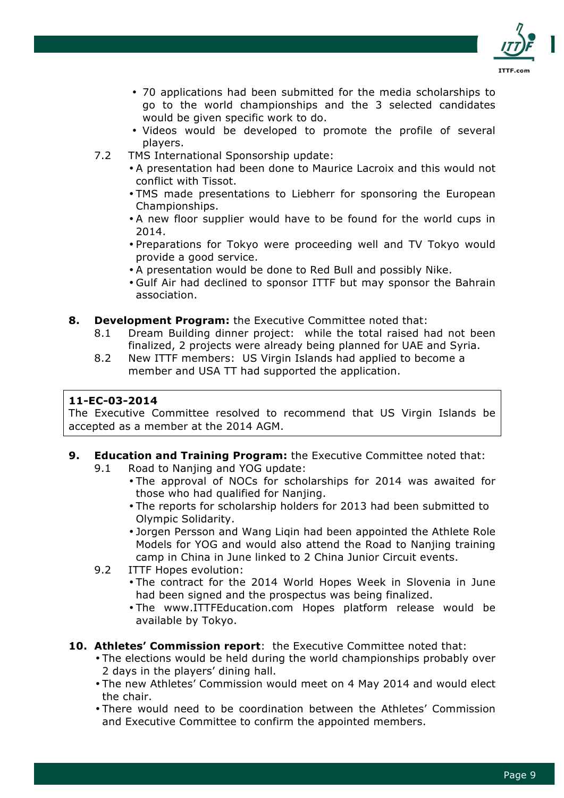

- 70 applications had been submitted for the media scholarships to go to the world championships and the 3 selected candidates would be given specific work to do.
- Videos would be developed to promote the profile of several players.
- 7.2 TMS International Sponsorship update:
	- A presentation had been done to Maurice Lacroix and this would not conflict with Tissot.
	- TMS made presentations to Liebherr for sponsoring the European Championships.
	- A new floor supplier would have to be found for the world cups in 2014.
	- Preparations for Tokyo were proceeding well and TV Tokyo would provide a good service.
	- A presentation would be done to Red Bull and possibly Nike.
	- Gulf Air had declined to sponsor ITTF but may sponsor the Bahrain association.
- **8. Development Program:** the Executive Committee noted that:
	- 8.1 Dream Building dinner project: while the total raised had not been finalized, 2 projects were already being planned for UAE and Syria.
	- 8.2 New ITTF members: US Virgin Islands had applied to become a member and USA TT had supported the application.

The Executive Committee resolved to recommend that US Virgin Islands be accepted as a member at the 2014 AGM.

- **9. Education and Training Program:** the Executive Committee noted that:
	- 9.1 Road to Nanjing and YOG update:
		- The approval of NOCs for scholarships for 2014 was awaited for those who had qualified for Nanjing.
		- The reports for scholarship holders for 2013 had been submitted to Olympic Solidarity.
		- Jorgen Persson and Wang Liqin had been appointed the Athlete Role Models for YOG and would also attend the Road to Nanjing training camp in China in June linked to 2 China Junior Circuit events.
	- 9.2 ITTF Hopes evolution:
		- The contract for the 2014 World Hopes Week in Slovenia in June had been signed and the prospectus was being finalized.
		- The www.ITTFEducation.com Hopes platform release would be available by Tokyo.
- **10. Athletes' Commission report**:the Executive Committee noted that:
	- The elections would be held during the world championships probably over 2 days in the players' dining hall.
	- The new Athletes' Commission would meet on 4 May 2014 and would elect the chair.
	- There would need to be coordination between the Athletes' Commission and Executive Committee to confirm the appointed members.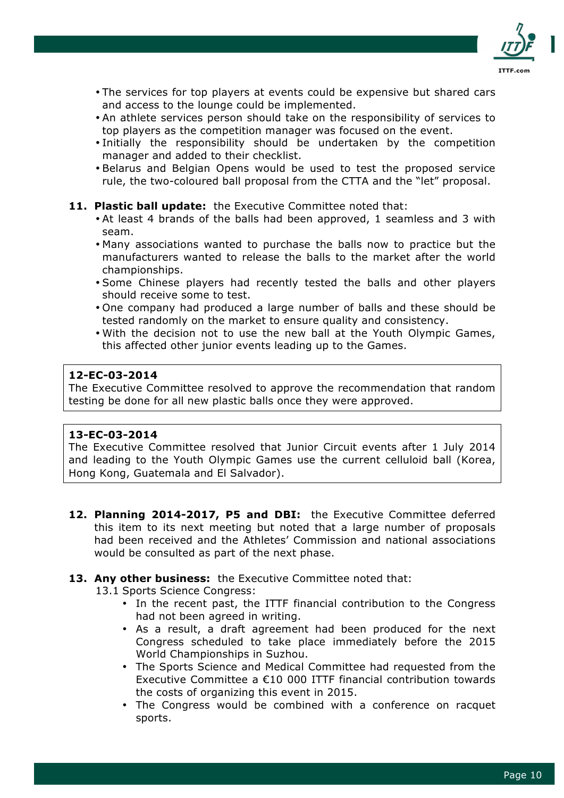

- The services for top players at events could be expensive but shared cars and access to the lounge could be implemented.
- An athlete services person should take on the responsibility of services to top players as the competition manager was focused on the event.
- Initially the responsibility should be undertaken by the competition manager and added to their checklist.
- Belarus and Belgian Opens would be used to test the proposed service rule, the two-coloured ball proposal from the CTTA and the "let" proposal.

#### **11. Plastic ball update:** the Executive Committee noted that:

- At least 4 brands of the balls had been approved, 1 seamless and 3 with seam.
- Many associations wanted to purchase the balls now to practice but the manufacturers wanted to release the balls to the market after the world championships.
- Some Chinese players had recently tested the balls and other players should receive some to test.
- One company had produced a large number of balls and these should be tested randomly on the market to ensure quality and consistency.
- With the decision not to use the new ball at the Youth Olympic Games, this affected other junior events leading up to the Games.

## **12-EC-03-2014**

The Executive Committee resolved to approve the recommendation that random testing be done for all new plastic balls once they were approved.

## **13-EC-03-2014**

The Executive Committee resolved that Junior Circuit events after 1 July 2014 and leading to the Youth Olympic Games use the current celluloid ball (Korea, Hong Kong, Guatemala and El Salvador).

**12. Planning 2014-2017, P5 and DBI:** the Executive Committee deferred this item to its next meeting but noted that a large number of proposals had been received and the Athletes' Commission and national associations would be consulted as part of the next phase.

## **13. Any other business:** the Executive Committee noted that:

13.1 Sports Science Congress:

- In the recent past, the ITTF financial contribution to the Congress had not been agreed in writing.
- As a result, a draft agreement had been produced for the next Congress scheduled to take place immediately before the 2015 World Championships in Suzhou.
- The Sports Science and Medical Committee had requested from the Executive Committee a €10 000 ITTF financial contribution towards the costs of organizing this event in 2015.
- The Congress would be combined with a conference on racquet sports.